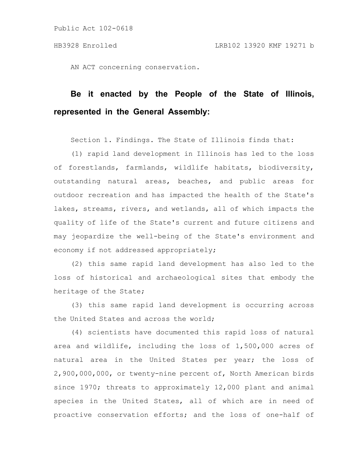AN ACT concerning conservation.

## **Be it enacted by the People of the State of Illinois, represented in the General Assembly:**

Section 1. Findings. The State of Illinois finds that:

(1) rapid land development in Illinois has led to the loss of forestlands, farmlands, wildlife habitats, biodiversity, outstanding natural areas, beaches, and public areas for outdoor recreation and has impacted the health of the State's lakes, streams, rivers, and wetlands, all of which impacts the quality of life of the State's current and future citizens and may jeopardize the well-being of the State's environment and economy if not addressed appropriately;

(2) this same rapid land development has also led to the loss of historical and archaeological sites that embody the heritage of the State;

(3) this same rapid land development is occurring across the United States and across the world;

(4) scientists have documented this rapid loss of natural area and wildlife, including the loss of 1,500,000 acres of natural area in the United States per year; the loss of 2,900,000,000, or twenty-nine percent of, North American birds since 1970; threats to approximately 12,000 plant and animal species in the United States, all of which are in need of proactive conservation efforts; and the loss of one-half of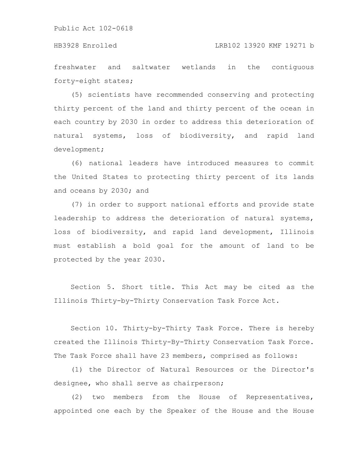freshwater and saltwater wetlands in the contiguous forty-eight states;

(5) scientists have recommended conserving and protecting thirty percent of the land and thirty percent of the ocean in each country by 2030 in order to address this deterioration of natural systems, loss of biodiversity, and rapid land development;

(6) national leaders have introduced measures to commit the United States to protecting thirty percent of its lands and oceans by 2030; and

(7) in order to support national efforts and provide state leadership to address the deterioration of natural systems, loss of biodiversity, and rapid land development, Illinois must establish a bold goal for the amount of land to be protected by the year 2030.

Section 5. Short title. This Act may be cited as the Illinois Thirty-by-Thirty Conservation Task Force Act.

Section 10. Thirty-by-Thirty Task Force. There is hereby created the Illinois Thirty-By-Thirty Conservation Task Force. The Task Force shall have 23 members, comprised as follows:

(1) the Director of Natural Resources or the Director's designee, who shall serve as chairperson;

(2) two members from the House of Representatives, appointed one each by the Speaker of the House and the House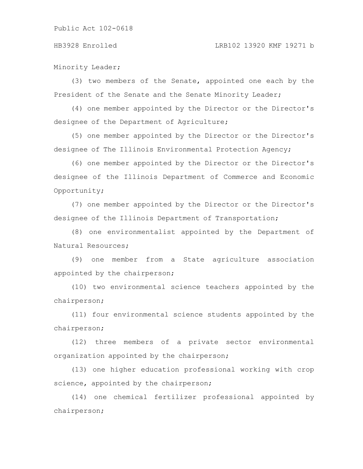## HB3928 Enrolled LRB102 13920 KMF 19271 b

Minority Leader;

(3) two members of the Senate, appointed one each by the President of the Senate and the Senate Minority Leader;

(4) one member appointed by the Director or the Director's designee of the Department of Agriculture;

(5) one member appointed by the Director or the Director's designee of The Illinois Environmental Protection Agency;

(6) one member appointed by the Director or the Director's designee of the Illinois Department of Commerce and Economic Opportunity;

(7) one member appointed by the Director or the Director's designee of the Illinois Department of Transportation;

(8) one environmentalist appointed by the Department of Natural Resources;

(9) one member from a State agriculture association appointed by the chairperson;

(10) two environmental science teachers appointed by the chairperson;

(11) four environmental science students appointed by the chairperson;

(12) three members of a private sector environmental organization appointed by the chairperson;

(13) one higher education professional working with crop science, appointed by the chairperson;

(14) one chemical fertilizer professional appointed by chairperson;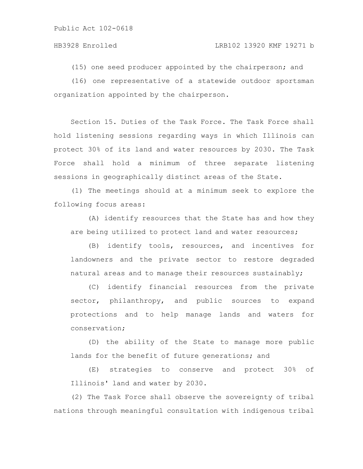(15) one seed producer appointed by the chairperson; and

(16) one representative of a statewide outdoor sportsman organization appointed by the chairperson.

Section 15. Duties of the Task Force. The Task Force shall hold listening sessions regarding ways in which Illinois can protect 30% of its land and water resources by 2030. The Task Force shall hold a minimum of three separate listening sessions in geographically distinct areas of the State.

(1) The meetings should at a minimum seek to explore the following focus areas:

(A) identify resources that the State has and how they are being utilized to protect land and water resources;

(B) identify tools, resources, and incentives for landowners and the private sector to restore degraded natural areas and to manage their resources sustainably;

(C) identify financial resources from the private sector, philanthropy, and public sources to expand protections and to help manage lands and waters for conservation;

(D) the ability of the State to manage more public lands for the benefit of future generations; and

(E) strategies to conserve and protect 30% of Illinois' land and water by 2030.

(2) The Task Force shall observe the sovereignty of tribal nations through meaningful consultation with indigenous tribal